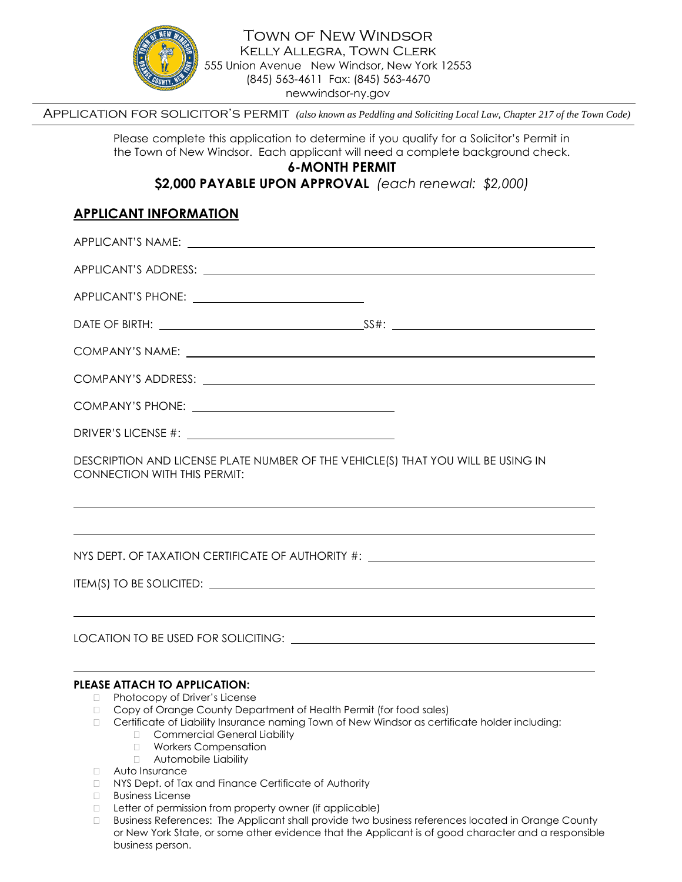

Town of New Windsor Kelly Allegra, Town Clerk 555 Union Avenue New Windsor, New York 12553 (845) 563-4611 Fax: (845) 563-4670 newwindsor-ny.gov

Application for solicitor's permit *(also known as Peddling and Soliciting Local Law, Chapter 217 of the Town Code)*

Please complete this application to determine if you qualify for a Solicitor's Permit in the Town of New Windsor. Each applicant will need a complete background check.

# **6-MONTH PERMIT**

**\$2,000 PAYABLE UPON APPROVAL** *(each renewal: \$2,000)*

# **APPLICANT INFORMATION**

| DESCRIPTION AND LICENSE PLATE NUMBER OF THE VEHICLE(S) THAT YOU WILL BE USING IN<br><b>CONNECTION WITH THIS PERMIT:</b> |  |
|-------------------------------------------------------------------------------------------------------------------------|--|
|                                                                                                                         |  |

NYS DEPT. OF TAXATION CERTIFICATE OF AUTHORITY #:

ITEM(S) TO BE SOLICITED:

LOCATION TO BE USED FOR SOLICITING:

### **PLEASE ATTACH TO APPLICATION:**

- □ Photocopy of Driver's License
- Copy of Orange County Department of Health Permit (for food sales)
- Certificate of Liability Insurance naming Town of New Windsor as certificate holder including:
	- □ Commercial General Liability
	- **Norkers Compensation**
	- Automobile Liability
- Auto Insurance
- NYS Dept. of Tax and Finance Certificate of Authority
- **Business License**
- $\Box$  Letter of permission from property owner (if applicable)
- Business References: The Applicant shall provide two business references located in Orange County or New York State, or some other evidence that the Applicant is of good character and a responsible business person.